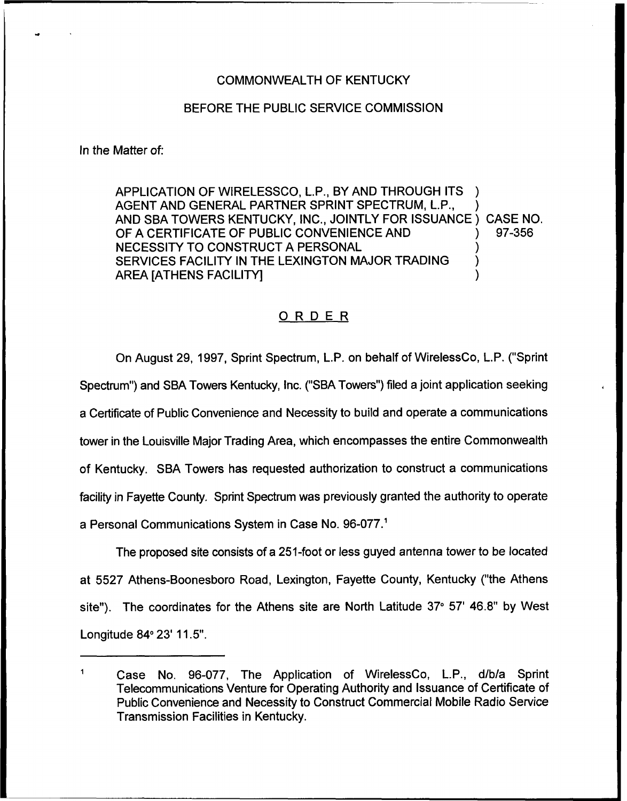## COMMONWEALTH OF KENTUCKY

## BEFORE THE PUBLIC SERVICE COMMISSION

In the Matter of:

APPLICATION OF WIRELESSCO, L.P., BY AND THROUGH ITS AGENT AND GENERAL PARTNER SPRINT SPECTRUM, L.P., AND SBA TOWERS KENTUCKY, INC., JOINTLY FOR ISSUANCE ) CASE NO.<br>OF A CERTIFICATE OF PUBLIC CONVENIENCE AND (197-356) OF A CERTIFICATE OF PUBLIC CONVENIENCE AND NECESSITY TO CONSTRUCT A PERSONAL SERVICES FACILITY IN THE LEXINGTON MAJOR TRADING AREA [ATHENS FACILITY] )

## ORDER

On August 29, 1997, Sprint Spectrum, L.P. on behalf of WirelessCo, L.P. ("Sprint Spectrum'') and SBA Towers Kentucky, Inc. ("SBA Towers") filed a joint application seekin a Certificate of Public Convenience and Necessity to build and operate a communications tower in the Louisville Major Trading Area, which encompasses the entire Commonwealth of Kentucky. SBA Towers has requested authorization to construct a communications facility in Fayette County. Sprint Spectrum was previously granted the authority to operate a Personal Communications System in Case No. 96-077.<sup>1</sup>

The proposed site consists of a 251-foot or less guyed antenna tower to be located at 5527 Athens-Boonesboro Road, Lexington, Fayette County, Kentucky ("the Athens site"). The coordinates for the Athens site are North Latitude  $37°57'$  46.8" by West Longitude 84° 23' 11.5".

 $\mathbf{1}$ Case No. 96-077, The Application of WirelessCo, L.P., d/b/a Sprint Telecommunications Venture for Operating Authority and Issuance of Certificate of Public Convenience and Necessity to Construct Commercial Mobile Radio Service Transmission Facilities in Kentucky.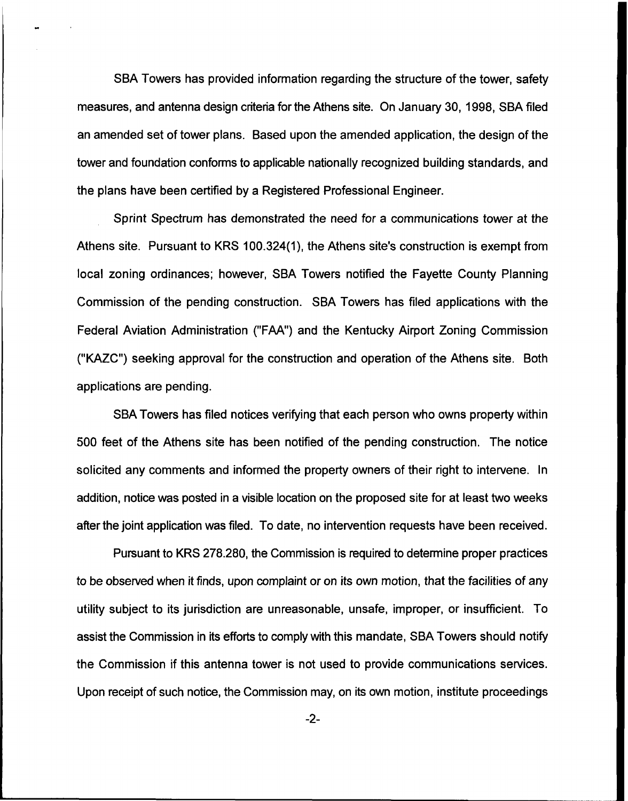SBA Towers has provided information regarding the structure of the tower, safety measures, and antenna design criteria for the Athens site. On January 30, 1998, SBA filed an amended set of tower plans. Based upon the amended application, the design of the tower and foundation conforms to applicable nationally recognized building standards, and the plans have been certified by a Registered Professional Engineer.

Sprint Spectrum has demonstrated the need for a communications tower at the Athens site. Pursuant to KRS 100.324(1), the Athens site's construction is exempt from local zoning ordinances; however, SBA Towers notified the Fayette County Planning Commission of the pending construction. SBA Towers has filed applications with the Federal Aviation Administration ("FAA") and the Kentucky Airport Zoning Commission ("KAZC") seeking approval for the construction and operation of the Athens site. Both applications are pending.

SBA Towers has filed notices verifying that each person who owns property within 500 feet of the Athens site has been notified of the pending construction. The notice solicited any comments and informed the property owners of their right to intervene. In addition, notice was posted in a visible location on the proposed site for at least two weeks after the joint application was filed. To date, no intervention requests have been received.

Pursuant to KRS 278.280, the Commission is required to determine proper practices to be observed when it finds, upon complaint or on its own motion, that the facilities of any utility subject to its jurisdiction are unreasonable, unsafe, improper, or insufficient. To assist the Commission in its efforts to comply with this mandate, SBA Towers should notify the Commission if this antenna tower is not used to provide communications services. Upon receipt of such notice, the Commission may, on its own motion, institute proceedings

 $-2-$